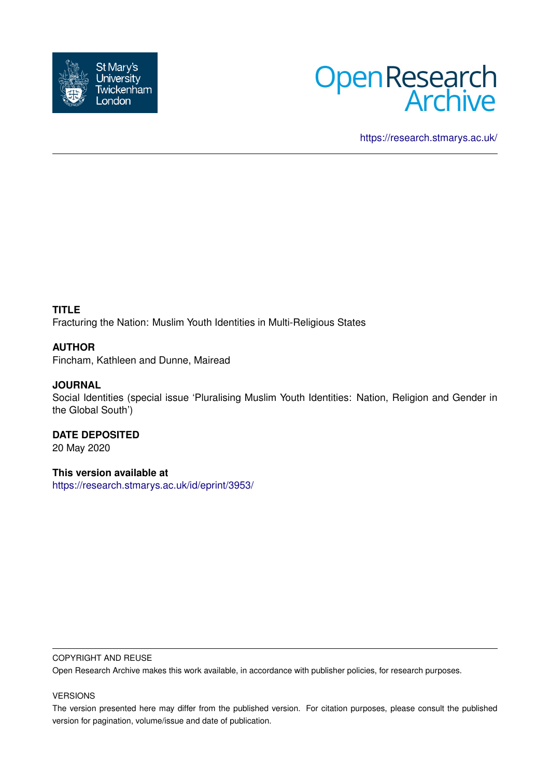



<https://research.stmarys.ac.uk/>

## **TITLE**

Fracturing the Nation: Muslim Youth Identities in Multi-Religious States

## **AUTHOR**

Fincham, Kathleen and Dunne, Mairead

## **JOURNAL**

Social Identities (special issue 'Pluralising Muslim Youth Identities: Nation, Religion and Gender in the Global South')

## **DATE DEPOSITED**

20 May 2020

# **This version available at**

<https://research.stmarys.ac.uk/id/eprint/3953/>

#### COPYRIGHT AND REUSE

Open Research Archive makes this work available, in accordance with publisher policies, for research purposes.

#### VERSIONS

The version presented here may differ from the published version. For citation purposes, please consult the published version for pagination, volume/issue and date of publication.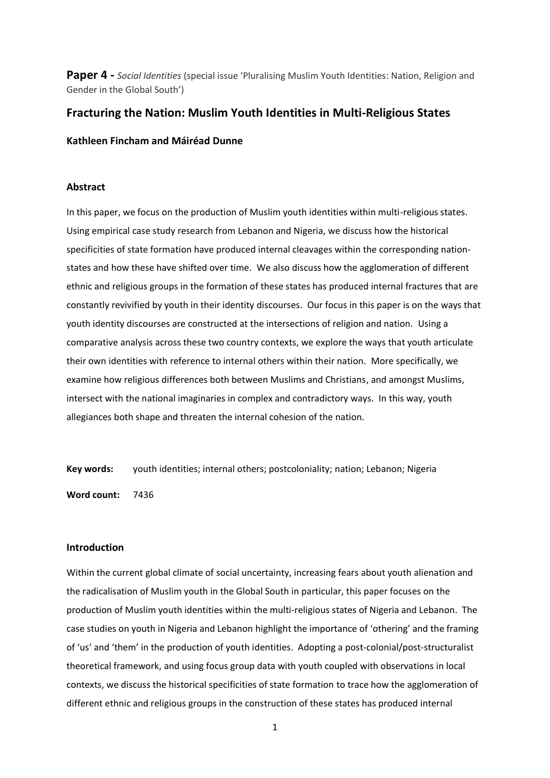**Paper 4 -** *Social Identities* (special issue 'Pluralising Muslim Youth Identities: Nation, Religion and Gender in the Global South')

## **Fracturing the Nation: Muslim Youth Identities in Multi-Religious States**

**Kathleen Fincham and Máiréad Dunne**

#### **Abstract**

In this paper, we focus on the production of Muslim youth identities within multi-religious states. Using empirical case study research from Lebanon and Nigeria, we discuss how the historical specificities of state formation have produced internal cleavages within the corresponding nationstates and how these have shifted over time. We also discuss how the agglomeration of different ethnic and religious groups in the formation of these states has produced internal fractures that are constantly revivified by youth in their identity discourses. Our focus in this paper is on the ways that youth identity discourses are constructed at the intersections of religion and nation. Using a comparative analysis across these two country contexts, we explore the ways that youth articulate their own identities with reference to internal others within their nation. More specifically, we examine how religious differences both between Muslims and Christians, and amongst Muslims, intersect with the national imaginaries in complex and contradictory ways. In this way, youth allegiances both shape and threaten the internal cohesion of the nation.

**Key words:** youth identities; internal others; postcoloniality; nation; Lebanon; Nigeria

**Word count:** 7436

#### **Introduction**

Within the current global climate of social uncertainty, increasing fears about youth alienation and the radicalisation of Muslim youth in the Global South in particular, this paper focuses on the production of Muslim youth identities within the multi-religious states of Nigeria and Lebanon. The case studies on youth in Nigeria and Lebanon highlight the importance of 'othering' and the framing of 'us' and 'them' in the production of youth identities. Adopting a post-colonial/post-structuralist theoretical framework, and using focus group data with youth coupled with observations in local contexts, we discuss the historical specificities of state formation to trace how the agglomeration of different ethnic and religious groups in the construction of these states has produced internal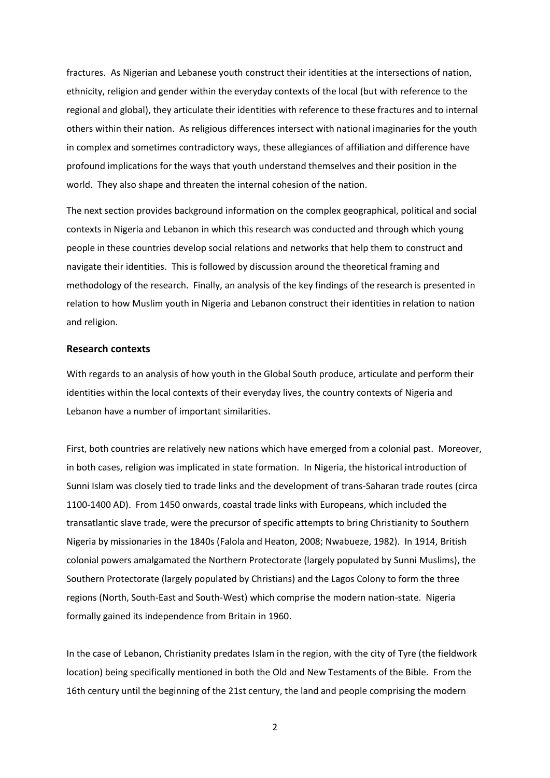fractures. As Nigerian and Lebanese youth construct their identities at the intersections of nation, ethnicity, religion and gender within the everyday contexts of the local (but with reference to the regional and global), they articulate their identities with reference to these fractures and to internal others within their nation. As religious differences intersect with national imaginaries for the youth in complex and sometimes contradictory ways, these allegiances of affiliation and difference have profound implications for the ways that youth understand themselves and their position in the world. They also shape and threaten the internal cohesion of the nation.

The next section provides background information on the complex geographical, political and social contexts in Nigeria and Lebanon in which this research was conducted and through which young people in these countries develop social relations and networks that help them to construct and navigate their identities. This is followed by discussion around the theoretical framing and methodology of the research. Finally, an analysis of the key findings of the research is presented in relation to how Muslim youth in Nigeria and Lebanon construct their identities in relation to nation and religion.

#### **Research contexts**

With regards to an analysis of how youth in the Global South produce, articulate and perform their identities within the local contexts of their everyday lives, the country contexts of Nigeria and Lebanon have a number of important similarities.

First, both countries are relatively new nations which have emerged from a colonial past. Moreover, in both cases, religion was implicated in state formation. In Nigeria, the historical introduction of Sunni Islam was closely tied to trade links and the development of trans-Saharan trade routes (circa 1100-1400 AD). From 1450 onwards, coastal trade links with Europeans, which included the transatlantic slave trade, were the precursor of specific attempts to bring Christianity to Southern Nigeria by missionaries in the 1840s (Falola and Heaton, 2008; Nwabueze, 1982). In 1914, British colonial powers amalgamated the Northern Protectorate (largely populated by Sunni Muslims), the Southern Protectorate (largely populated by Christians) and the Lagos Colony to form the three regions (North, South-East and South-West) which comprise the modern nation-state. Nigeria formally gained its independence from Britain in 1960.

In the case of Lebanon, Christianity predates Islam in the region, with the city of Tyre (the fieldwork location) being specifically mentioned in both the Old and New Testaments of the Bible. From the 16th century until the beginning of the 21st century, the land and people comprising the modern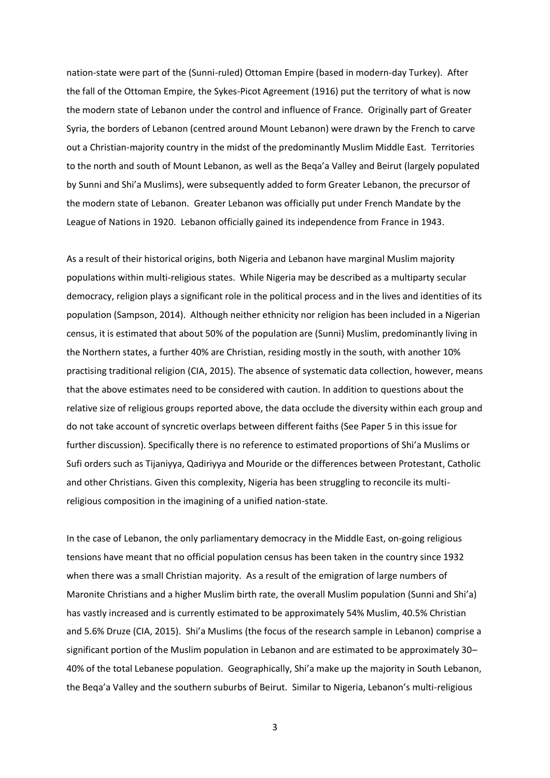nation-state were part of the (Sunni-ruled) Ottoman Empire (based in modern-day Turkey). After the fall of the Ottoman Empire, the Sykes-Picot Agreement (1916) put the territory of what is now the modern state of Lebanon under the control and influence of France. Originally part of Greater Syria, the borders of Lebanon (centred around Mount Lebanon) were drawn by the French to carve out a Christian-majority country in the midst of the predominantly Muslim Middle East. Territories to the north and south of Mount Lebanon, as well as the Beqa'a Valley and Beirut (largely populated by Sunni and Shi'a Muslims), were subsequently added to form Greater Lebanon, the precursor of the modern state of Lebanon. Greater Lebanon was officially put under French Mandate by the League of Nations in 1920. Lebanon officially gained its independence from France in 1943.

As a result of their historical origins, both Nigeria and Lebanon have marginal Muslim majority populations within multi-religious states. While Nigeria may be described as a multiparty secular democracy, religion plays a significant role in the political process and in the lives and identities of its population (Sampson, 2014). Although neither ethnicity nor religion has been included in a Nigerian census, it is estimated that about 50% of the population are (Sunni) Muslim, predominantly living in the Northern states, a further 40% are Christian, residing mostly in the south, with another 10% practising traditional religion (CIA, 2015). The absence of systematic data collection, however, means that the above estimates need to be considered with caution. In addition to questions about the relative size of religious groups reported above, the data occlude the diversity within each group and do not take account of syncretic overlaps between different faiths (See Paper 5 in this issue for further discussion). Specifically there is no reference to estimated proportions of Shi'a Muslims or Sufi orders such as Tijaniyya, Qadiriyya and Mouride or the differences between Protestant, Catholic and other Christians. Given this complexity, Nigeria has been struggling to reconcile its multireligious composition in the imagining of a unified nation-state.

In the case of Lebanon, the only parliamentary democracy in the Middle East, on-going religious tensions have meant that no official population census has been taken in the country since 1932 when there was a small Christian majority. As a result of the emigration of large numbers of Maronite Christians and a higher Muslim birth rate, the overall Muslim population (Sunni and Shi'a) has vastly increased and is currently estimated to be approximately 54% Muslim, 40.5% Christian and 5.6% Druze (CIA, 2015). Shi'a Muslims (the focus of the research sample in Lebanon) comprise a significant portion of the Muslim population in Lebanon and are estimated to be approximately 30– 40% of the total Lebanese population. Geographically, Shi'a make up the majority in South Lebanon, the Beqa'a Valley and the southern suburbs of Beirut. Similar to Nigeria, Lebanon's multi-religious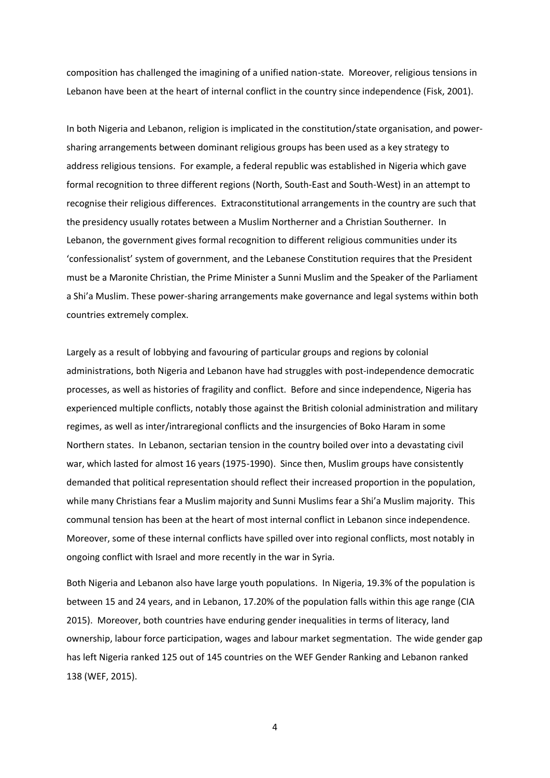composition has challenged the imagining of a unified nation-state. Moreover, religious tensions in Lebanon have been at the heart of internal conflict in the country since independence (Fisk, 2001).

In both Nigeria and Lebanon, religion is implicated in the constitution/state organisation, and powersharing arrangements between dominant religious groups has been used as a key strategy to address religious tensions. For example, a federal republic was established in Nigeria which gave formal recognition to three different regions (North, South-East and South-West) in an attempt to recognise their religious differences. Extraconstitutional arrangements in the country are such that the presidency usually rotates between a Muslim Northerner and a Christian Southerner. In Lebanon, the government gives formal recognition to different religious communities under its 'confessionalist' system of government, and the Lebanese Constitution requires that the President must be a Maronite Christian, the Prime Minister a Sunni Muslim and the Speaker of the Parliament a Shi'a Muslim. These power-sharing arrangements make governance and legal systems within both countries extremely complex.

Largely as a result of lobbying and favouring of particular groups and regions by colonial administrations, both Nigeria and Lebanon have had struggles with post-independence democratic processes, as well as histories of fragility and conflict. Before and since independence, Nigeria has experienced multiple conflicts, notably those against the British colonial administration and military regimes, as well as inter/intraregional conflicts and the insurgencies of Boko Haram in some Northern states. In Lebanon, sectarian tension in the country boiled over into a devastating civil war, which lasted for almost 16 years (1975-1990). Since then, Muslim groups have consistently demanded that political representation should reflect their increased proportion in the population, while many Christians fear a Muslim majority and Sunni Muslims fear a Shi'a Muslim majority. This communal tension has been at the heart of most internal conflict in Lebanon since independence. Moreover, some of these internal conflicts have spilled over into regional conflicts, most notably in ongoing conflict with Israel and more recently in the war in Syria.

Both Nigeria and Lebanon also have large youth populations. In Nigeria, 19.3% of the population is between 15 and 24 years, and in Lebanon, 17.20% of the population falls within this age range (CIA 2015). Moreover, both countries have enduring gender inequalities in terms of literacy, land ownership, labour force participation, wages and labour market segmentation. The wide gender gap has left Nigeria ranked 125 out of 145 countries on the WEF Gender Ranking and Lebanon ranked 138 (WEF, 2015).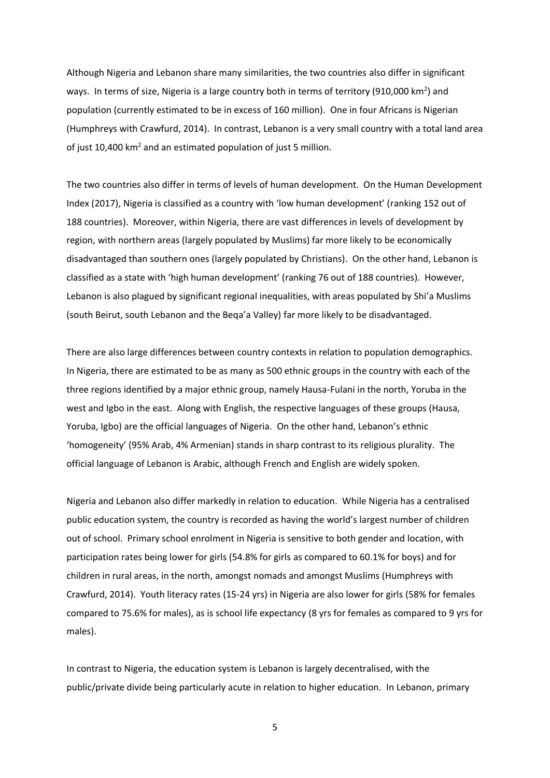Although Nigeria and Lebanon share many similarities, the two countries also differ in significant ways. In terms of size, Nigeria is a large country both in terms of territory (910,000 km<sup>2</sup>) and population (currently estimated to be in excess of 160 million). One in four Africans is Nigerian (Humphreys with Crawfurd, 2014). In contrast, Lebanon is a very small country with a total land area of just 10,400 km<sup>2</sup> and an estimated population of just 5 million.

The two countries also differ in terms of levels of human development. On the Human Development Index (2017), Nigeria is classified as a country with 'low human development' (ranking 152 out of 188 countries). Moreover, within Nigeria, there are vast differences in levels of development by region, with northern areas (largely populated by Muslims) far more likely to be economically disadvantaged than southern ones (largely populated by Christians). On the other hand, Lebanon is classified as a state with 'high human development' (ranking 76 out of 188 countries). However, Lebanon is also plagued by significant regional inequalities, with areas populated by Shi'a Muslims (south Beirut, south Lebanon and the Beqa'a Valley) far more likely to be disadvantaged.

There are also large differences between country contexts in relation to population demographics. In Nigeria, there are estimated to be as many as 500 ethnic groups in the country with each of the three regions identified by a major ethnic group, namely Hausa-Fulani in the north, Yoruba in the west and Igbo in the east. Along with English, the respective languages of these groups (Hausa, Yoruba, Igbo) are the official languages of Nigeria. On the other hand, Lebanon's ethnic 'homogeneity' (95% Arab, 4% Armenian) stands in sharp contrast to its religious plurality. The official language of Lebanon is Arabic, although French and English are widely spoken.

Nigeria and Lebanon also differ markedly in relation to education. While Nigeria has a centralised public education system, the country is recorded as having the world's largest number of children out of school. Primary school enrolment in Nigeria is sensitive to both gender and location, with participation rates being lower for girls (54.8% for girls as compared to 60.1% for boys) and for children in rural areas, in the north, amongst nomads and amongst Muslims (Humphreys with Crawfurd, 2014). Youth literacy rates (15-24 yrs) in Nigeria are also lower for girls (58% for females compared to 75.6% for males), as is school life expectancy (8 yrs for females as compared to 9 yrs for males).

In contrast to Nigeria, the education system is Lebanon is largely decentralised, with the public/private divide being particularly acute in relation to higher education. In Lebanon, primary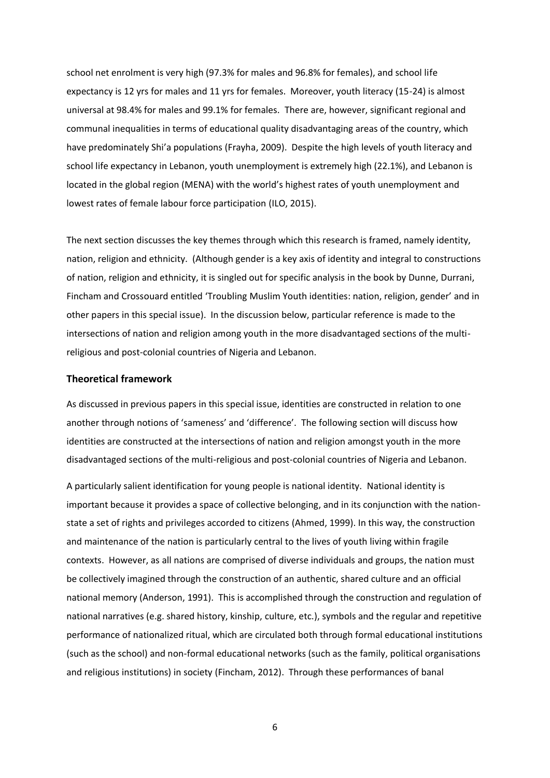school net enrolment is very high (97.3% for males and 96.8% for females), and school life expectancy is 12 yrs for males and 11 yrs for females. Moreover, youth literacy (15-24) is almost universal at 98.4% for males and 99.1% for females. There are, however, significant regional and communal inequalities in terms of educational quality disadvantaging areas of the country, which have predominately Shi'a populations (Frayha, 2009). Despite the high levels of youth literacy and school life expectancy in Lebanon, youth unemployment is extremely high (22.1%), and Lebanon is located in the global region (MENA) with the world's highest rates of youth unemployment and lowest rates of female labour force participation (ILO, 2015).

The next section discusses the key themes through which this research is framed, namely identity, nation, religion and ethnicity. (Although gender is a key axis of identity and integral to constructions of nation, religion and ethnicity, it is singled out for specific analysis in the book by Dunne, Durrani, Fincham and Crossouard entitled 'Troubling Muslim Youth identities: nation, religion, gender' and in other papers in this special issue). In the discussion below, particular reference is made to the intersections of nation and religion among youth in the more disadvantaged sections of the multireligious and post-colonial countries of Nigeria and Lebanon.

#### **Theoretical framework**

As discussed in previous papers in this special issue, identities are constructed in relation to one another through notions of 'sameness' and 'difference'. The following section will discuss how identities are constructed at the intersections of nation and religion amongst youth in the more disadvantaged sections of the multi-religious and post-colonial countries of Nigeria and Lebanon.

A particularly salient identification for young people is national identity. National identity is important because it provides a space of collective belonging, and in its conjunction with the nationstate a set of rights and privileges accorded to citizens (Ahmed, 1999). In this way, the construction and maintenance of the nation is particularly central to the lives of youth living within fragile contexts. However, as all nations are comprised of diverse individuals and groups, the nation must be collectively imagined through the construction of an authentic, shared culture and an official national memory (Anderson, 1991). This is accomplished through the construction and regulation of national narratives (e.g. shared history, kinship, culture, etc.), symbols and the regular and repetitive performance of nationalized ritual, which are circulated both through formal educational institutions (such as the school) and non-formal educational networks (such as the family, political organisations and religious institutions) in society (Fincham, 2012). Through these performances of banal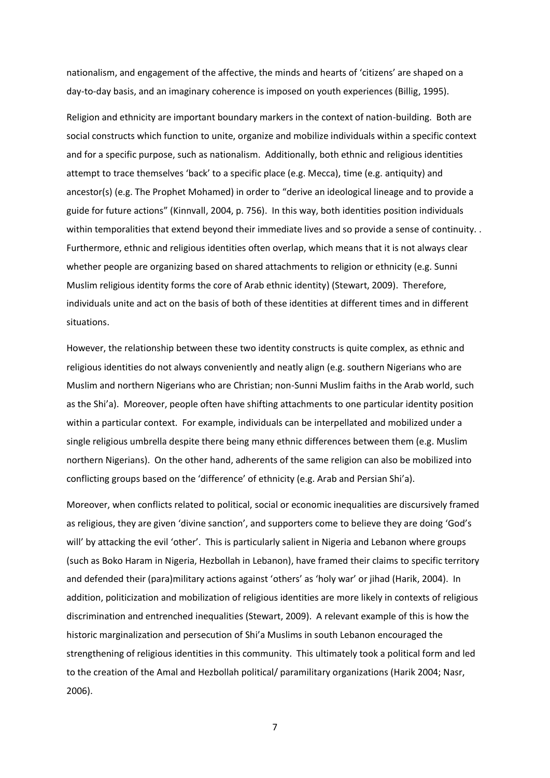nationalism, and engagement of the affective, the minds and hearts of 'citizens' are shaped on a day-to-day basis, and an imaginary coherence is imposed on youth experiences (Billig, 1995).

Religion and ethnicity are important boundary markers in the context of nation-building. Both are social constructs which function to unite, organize and mobilize individuals within a specific context and for a specific purpose, such as nationalism. Additionally, both ethnic and religious identities attempt to trace themselves 'back' to a specific place (e.g. Mecca), time (e.g. antiquity) and ancestor(s) (e.g. The Prophet Mohamed) in order to "derive an ideological lineage and to provide a guide for future actions" (Kinnvall, 2004, p. 756). In this way, both identities position individuals within temporalities that extend beyond their immediate lives and so provide a sense of continuity. . Furthermore, ethnic and religious identities often overlap, which means that it is not always clear whether people are organizing based on shared attachments to religion or ethnicity (e.g. Sunni Muslim religious identity forms the core of Arab ethnic identity) (Stewart, 2009). Therefore, individuals unite and act on the basis of both of these identities at different times and in different situations.

However, the relationship between these two identity constructs is quite complex, as ethnic and religious identities do not always conveniently and neatly align (e.g. southern Nigerians who are Muslim and northern Nigerians who are Christian; non-Sunni Muslim faiths in the Arab world, such as the Shi'a). Moreover, people often have shifting attachments to one particular identity position within a particular context. For example, individuals can be interpellated and mobilized under a single religious umbrella despite there being many ethnic differences between them (e.g. Muslim northern Nigerians). On the other hand, adherents of the same religion can also be mobilized into conflicting groups based on the 'difference' of ethnicity (e.g. Arab and Persian Shi'a).

Moreover, when conflicts related to political, social or economic inequalities are discursively framed as religious, they are given 'divine sanction', and supporters come to believe they are doing 'God's will' by attacking the evil 'other'. This is particularly salient in Nigeria and Lebanon where groups (such as Boko Haram in Nigeria, Hezbollah in Lebanon), have framed their claims to specific territory and defended their (para)military actions against 'others' as 'holy war' or jihad (Harik, 2004). In addition, politicization and mobilization of religious identities are more likely in contexts of religious discrimination and entrenched inequalities (Stewart, 2009). A relevant example of this is how the historic marginalization and persecution of Shi'a Muslims in south Lebanon encouraged the strengthening of religious identities in this community. This ultimately took a political form and led to the creation of the Amal and Hezbollah political/ paramilitary organizations (Harik 2004; Nasr, 2006).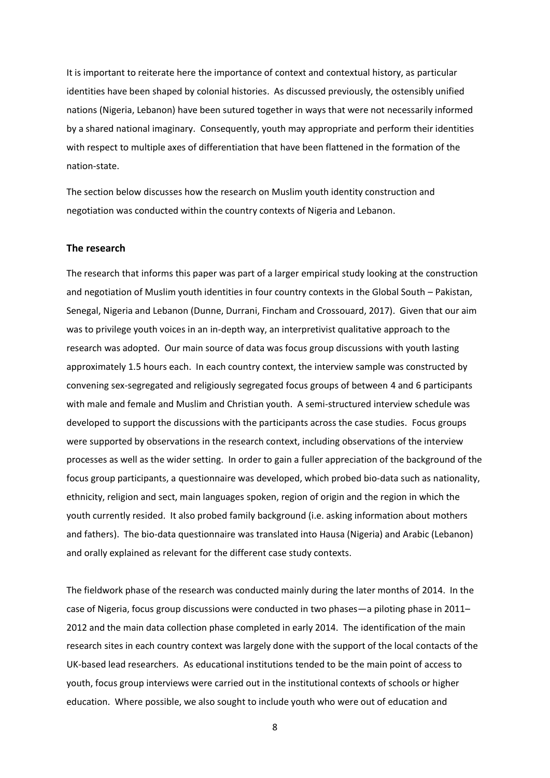It is important to reiterate here the importance of context and contextual history, as particular identities have been shaped by colonial histories. As discussed previously, the ostensibly unified nations (Nigeria, Lebanon) have been sutured together in ways that were not necessarily informed by a shared national imaginary. Consequently, youth may appropriate and perform their identities with respect to multiple axes of differentiation that have been flattened in the formation of the nation-state.

The section below discusses how the research on Muslim youth identity construction and negotiation was conducted within the country contexts of Nigeria and Lebanon.

#### **The research**

The research that informs this paper was part of a larger empirical study looking at the construction and negotiation of Muslim youth identities in four country contexts in the Global South – Pakistan, Senegal, Nigeria and Lebanon (Dunne, Durrani, Fincham and Crossouard, 2017). Given that our aim was to privilege youth voices in an in-depth way, an interpretivist qualitative approach to the research was adopted. Our main source of data was focus group discussions with youth lasting approximately 1.5 hours each. In each country context, the interview sample was constructed by convening sex-segregated and religiously segregated focus groups of between 4 and 6 participants with male and female and Muslim and Christian youth. A semi-structured interview schedule was developed to support the discussions with the participants across the case studies. Focus groups were supported by observations in the research context, including observations of the interview processes as well as the wider setting. In order to gain a fuller appreciation of the background of the focus group participants, a questionnaire was developed, which probed bio-data such as nationality, ethnicity, religion and sect, main languages spoken, region of origin and the region in which the youth currently resided. It also probed family background (i.e. asking information about mothers and fathers). The bio-data questionnaire was translated into Hausa (Nigeria) and Arabic (Lebanon) and orally explained as relevant for the different case study contexts.

The fieldwork phase of the research was conducted mainly during the later months of 2014. In the case of Nigeria, focus group discussions were conducted in two phases—a piloting phase in 2011– 2012 and the main data collection phase completed in early 2014. The identification of the main research sites in each country context was largely done with the support of the local contacts of the UK-based lead researchers. As educational institutions tended to be the main point of access to youth, focus group interviews were carried out in the institutional contexts of schools or higher education. Where possible, we also sought to include youth who were out of education and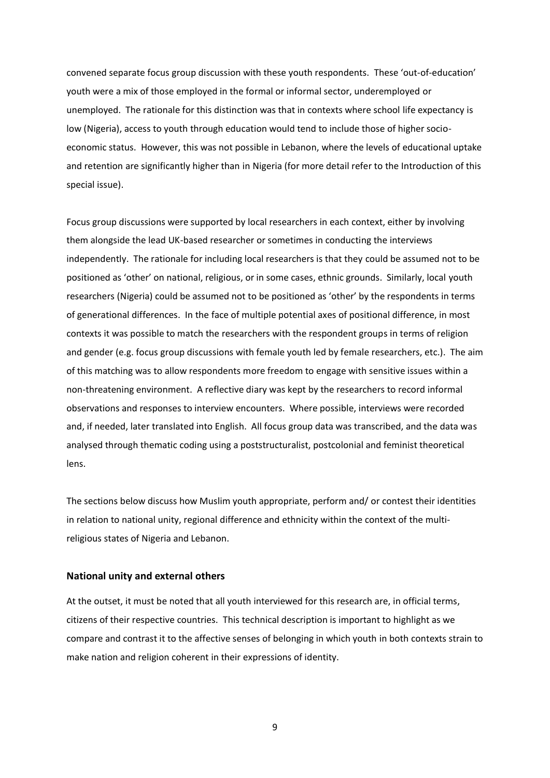convened separate focus group discussion with these youth respondents. These 'out-of-education' youth were a mix of those employed in the formal or informal sector, underemployed or unemployed. The rationale for this distinction was that in contexts where school life expectancy is low (Nigeria), access to youth through education would tend to include those of higher socioeconomic status. However, this was not possible in Lebanon, where the levels of educational uptake and retention are significantly higher than in Nigeria (for more detail refer to the Introduction of this special issue).

Focus group discussions were supported by local researchers in each context, either by involving them alongside the lead UK-based researcher or sometimes in conducting the interviews independently. The rationale for including local researchers is that they could be assumed not to be positioned as 'other' on national, religious, or in some cases, ethnic grounds. Similarly, local youth researchers (Nigeria) could be assumed not to be positioned as 'other' by the respondents in terms of generational differences. In the face of multiple potential axes of positional difference, in most contexts it was possible to match the researchers with the respondent groups in terms of religion and gender (e.g. focus group discussions with female youth led by female researchers, etc.). The aim of this matching was to allow respondents more freedom to engage with sensitive issues within a non-threatening environment. A reflective diary was kept by the researchers to record informal observations and responses to interview encounters. Where possible, interviews were recorded and, if needed, later translated into English. All focus group data was transcribed, and the data was analysed through thematic coding using a poststructuralist, postcolonial and feminist theoretical lens.

The sections below discuss how Muslim youth appropriate, perform and/ or contest their identities in relation to national unity, regional difference and ethnicity within the context of the multireligious states of Nigeria and Lebanon.

#### **National unity and external others**

At the outset, it must be noted that all youth interviewed for this research are, in official terms, citizens of their respective countries. This technical description is important to highlight as we compare and contrast it to the affective senses of belonging in which youth in both contexts strain to make nation and religion coherent in their expressions of identity.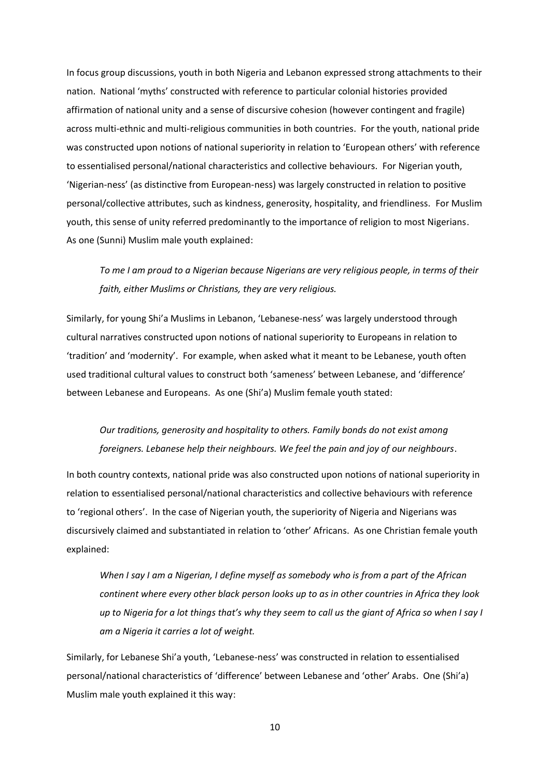In focus group discussions, youth in both Nigeria and Lebanon expressed strong attachments to their nation. National 'myths' constructed with reference to particular colonial histories provided affirmation of national unity and a sense of discursive cohesion (however contingent and fragile) across multi-ethnic and multi-religious communities in both countries. For the youth, national pride was constructed upon notions of national superiority in relation to 'European others' with reference to essentialised personal/national characteristics and collective behaviours. For Nigerian youth, 'Nigerian-ness' (as distinctive from European-ness) was largely constructed in relation to positive personal/collective attributes, such as kindness, generosity, hospitality, and friendliness. For Muslim youth, this sense of unity referred predominantly to the importance of religion to most Nigerians. As one (Sunni) Muslim male youth explained:

*To me I am proud to a Nigerian because Nigerians are very religious people, in terms of their faith, either Muslims or Christians, they are very religious.* 

Similarly, for young Shi'a Muslims in Lebanon, 'Lebanese-ness' was largely understood through cultural narratives constructed upon notions of national superiority to Europeans in relation to 'tradition' and 'modernity'. For example, when asked what it meant to be Lebanese, youth often used traditional cultural values to construct both 'sameness' between Lebanese, and 'difference' between Lebanese and Europeans. As one (Shi'a) Muslim female youth stated:

## *Our traditions, generosity and hospitality to others. Family bonds do not exist among foreigners. Lebanese help their neighbours. We feel the pain and joy of our neighbours*.

In both country contexts, national pride was also constructed upon notions of national superiority in relation to essentialised personal/national characteristics and collective behaviours with reference to 'regional others'. In the case of Nigerian youth, the superiority of Nigeria and Nigerians was discursively claimed and substantiated in relation to 'other' Africans. As one Christian female youth explained:

*When I say I am a Nigerian, I define myself as somebody who is from a part of the African continent where every other black person looks up to as in other countries in Africa they look up to Nigeria for a lot things that's why they seem to call us the giant of Africa so when I say I am a Nigeria it carries a lot of weight.* 

Similarly, for Lebanese Shi'a youth, 'Lebanese-ness' was constructed in relation to essentialised personal/national characteristics of 'difference' between Lebanese and 'other' Arabs. One (Shi'a) Muslim male youth explained it this way: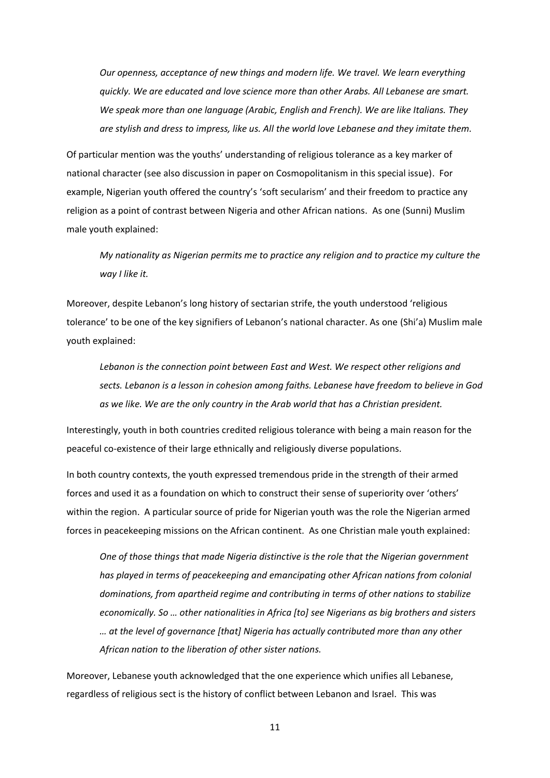*Our openness, acceptance of new things and modern life. We travel. We learn everything quickly. We are educated and love science more than other Arabs. All Lebanese are smart. We speak more than one language (Arabic, English and French). We are like Italians. They are stylish and dress to impress, like us. All the world love Lebanese and they imitate them.* 

Of particular mention was the youths' understanding of religious tolerance as a key marker of national character (see also discussion in paper on Cosmopolitanism in this special issue). For example, Nigerian youth offered the country's 'soft secularism' and their freedom to practice any religion as a point of contrast between Nigeria and other African nations. As one (Sunni) Muslim male youth explained:

*My nationality as Nigerian permits me to practice any religion and to practice my culture the way I like it.*

Moreover, despite Lebanon's long history of sectarian strife, the youth understood 'religious tolerance' to be one of the key signifiers of Lebanon's national character. As one (Shi'a) Muslim male youth explained:

*Lebanon is the connection point between East and West. We respect other religions and sects. Lebanon is a lesson in cohesion among faiths. Lebanese have freedom to believe in God as we like. We are the only country in the Arab world that has a Christian president.* 

Interestingly, youth in both countries credited religious tolerance with being a main reason for the peaceful co-existence of their large ethnically and religiously diverse populations.

In both country contexts, the youth expressed tremendous pride in the strength of their armed forces and used it as a foundation on which to construct their sense of superiority over 'others' within the region. A particular source of pride for Nigerian youth was the role the Nigerian armed forces in peacekeeping missions on the African continent. As one Christian male youth explained:

*One of those things that made Nigeria distinctive is the role that the Nigerian government has played in terms of peacekeeping and emancipating other African nations from colonial dominations, from apartheid regime and contributing in terms of other nations to stabilize economically. So … other nationalities in Africa [to] see Nigerians as big brothers and sisters … at the level of governance [that] Nigeria has actually contributed more than any other African nation to the liberation of other sister nations.* 

Moreover, Lebanese youth acknowledged that the one experience which unifies all Lebanese, regardless of religious sect is the history of conflict between Lebanon and Israel. This was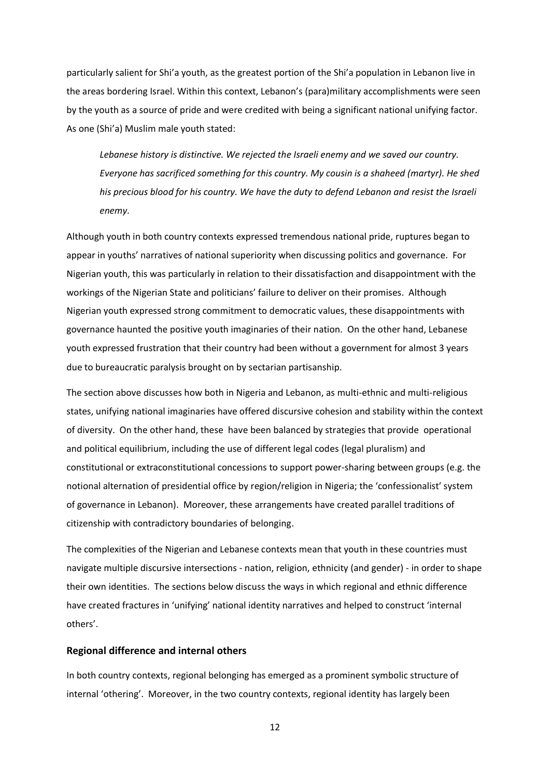particularly salient for Shi'a youth, as the greatest portion of the Shi'a population in Lebanon live in the areas bordering Israel. Within this context, Lebanon's (para)military accomplishments were seen by the youth as a source of pride and were credited with being a significant national unifying factor. As one (Shi'a) Muslim male youth stated:

*Lebanese history is distinctive. We rejected the Israeli enemy and we saved our country. Everyone has sacrificed something for this country. My cousin is a shaheed (martyr). He shed his precious blood for his country. We have the duty to defend Lebanon and resist the Israeli enemy.* 

Although youth in both country contexts expressed tremendous national pride, ruptures began to appear in youths' narratives of national superiority when discussing politics and governance. For Nigerian youth, this was particularly in relation to their dissatisfaction and disappointment with the workings of the Nigerian State and politicians' failure to deliver on their promises. Although Nigerian youth expressed strong commitment to democratic values, these disappointments with governance haunted the positive youth imaginaries of their nation. On the other hand, Lebanese youth expressed frustration that their country had been without a government for almost 3 years due to bureaucratic paralysis brought on by sectarian partisanship.

The section above discusses how both in Nigeria and Lebanon, as multi-ethnic and multi-religious states, unifying national imaginaries have offered discursive cohesion and stability within the context of diversity. On the other hand, these have been balanced by strategies that provide operational and political equilibrium, including the use of different legal codes (legal pluralism) and constitutional or extraconstitutional concessions to support power-sharing between groups (e.g. the notional alternation of presidential office by region/religion in Nigeria; the 'confessionalist' system of governance in Lebanon). Moreover, these arrangements have created parallel traditions of citizenship with contradictory boundaries of belonging.

The complexities of the Nigerian and Lebanese contexts mean that youth in these countries must navigate multiple discursive intersections - nation, religion, ethnicity (and gender) - in order to shape their own identities. The sections below discuss the ways in which regional and ethnic difference have created fractures in 'unifying' national identity narratives and helped to construct 'internal others'.

#### **Regional difference and internal others**

In both country contexts, regional belonging has emerged as a prominent symbolic structure of internal 'othering'. Moreover, in the two country contexts, regional identity has largely been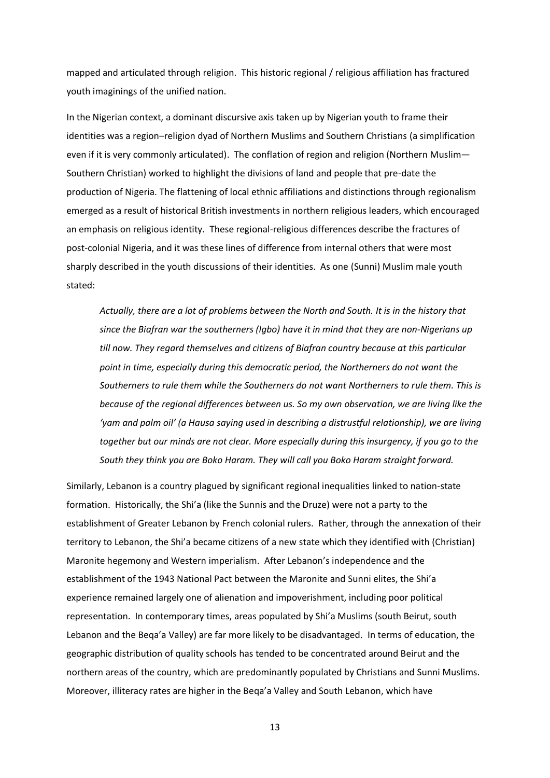mapped and articulated through religion. This historic regional / religious affiliation has fractured youth imaginings of the unified nation.

In the Nigerian context, a dominant discursive axis taken up by Nigerian youth to frame their identities was a region–religion dyad of Northern Muslims and Southern Christians (a simplification even if it is very commonly articulated). The conflation of region and religion (Northern Muslim— Southern Christian) worked to highlight the divisions of land and people that pre-date the production of Nigeria. The flattening of local ethnic affiliations and distinctions through regionalism emerged as a result of historical British investments in northern religious leaders, which encouraged an emphasis on religious identity. These regional-religious differences describe the fractures of post-colonial Nigeria, and it was these lines of difference from internal others that were most sharply described in the youth discussions of their identities. As one (Sunni) Muslim male youth stated:

*Actually, there are a lot of problems between the North and South. It is in the history that since the Biafran war the southerners (Igbo) have it in mind that they are non-Nigerians up till now. They regard themselves and citizens of Biafran country because at this particular point in time, especially during this democratic period, the Northerners do not want the Southerners to rule them while the Southerners do not want Northerners to rule them. This is because of the regional differences between us. So my own observation, we are living like the 'yam and palm oil' (a Hausa saying used in describing a distrustful relationship), we are living together but our minds are not clear. More especially during this insurgency, if you go to the South they think you are Boko Haram. They will call you Boko Haram straight forward.* 

Similarly, Lebanon is a country plagued by significant regional inequalities linked to nation-state formation. Historically, the Shi'a (like the Sunnis and the Druze) were not a party to the establishment of Greater Lebanon by French colonial rulers. Rather, through the annexation of their territory to Lebanon, the Shi'a became citizens of a new state which they identified with (Christian) Maronite hegemony and Western imperialism. After Lebanon's independence and the establishment of the 1943 National Pact between the Maronite and Sunni elites, the Shi'a experience remained largely one of alienation and impoverishment, including poor political representation. In contemporary times, areas populated by Shi'a Muslims (south Beirut, south Lebanon and the Beqa'a Valley) are far more likely to be disadvantaged. In terms of education, the geographic distribution of quality schools has tended to be concentrated around Beirut and the northern areas of the country, which are predominantly populated by Christians and Sunni Muslims. Moreover, illiteracy rates are higher in the Beqa'a Valley and South Lebanon, which have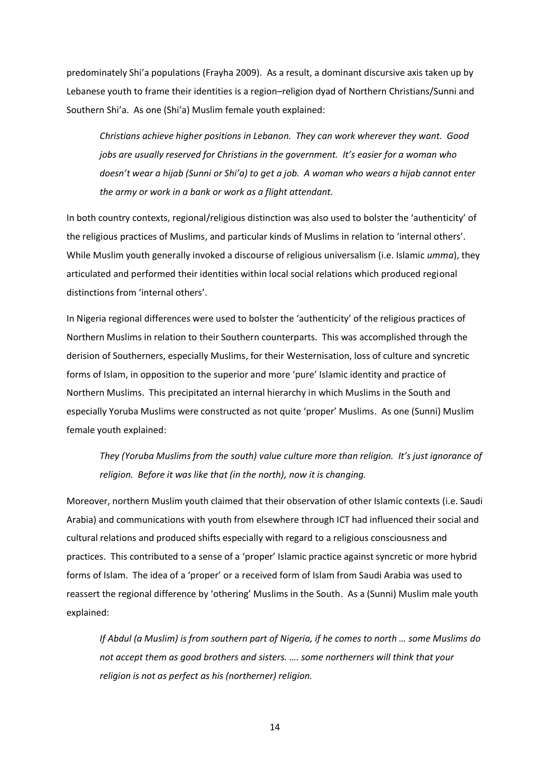predominately Shi'a populations (Frayha 2009). As a result, a dominant discursive axis taken up by Lebanese youth to frame their identities is a region–religion dyad of Northern Christians/Sunni and Southern Shi'a. As one (Shi'a) Muslim female youth explained:

*Christians achieve higher positions in Lebanon. They can work wherever they want. Good jobs are usually reserved for Christians in the government. It's easier for a woman who doesn't wear a hijab (Sunni or Shi'a) to get a job. A woman who wears a hijab cannot enter the army or work in a bank or work as a flight attendant.* 

In both country contexts, regional/religious distinction was also used to bolster the 'authenticity' of the religious practices of Muslims, and particular kinds of Muslims in relation to 'internal others'. While Muslim youth generally invoked a discourse of religious universalism (i.e. Islamic *umma*), they articulated and performed their identities within local social relations which produced regional distinctions from 'internal others'.

In Nigeria regional differences were used to bolster the 'authenticity' of the religious practices of Northern Muslims in relation to their Southern counterparts. This was accomplished through the derision of Southerners, especially Muslims, for their Westernisation, loss of culture and syncretic forms of Islam, in opposition to the superior and more 'pure' Islamic identity and practice of Northern Muslims. This precipitated an internal hierarchy in which Muslims in the South and especially Yoruba Muslims were constructed as not quite 'proper' Muslims. As one (Sunni) Muslim female youth explained:

*They (Yoruba Muslims from the south) value culture more than religion. It's just ignorance of religion. Before it was like that (in the north), now it is changing.*

Moreover, northern Muslim youth claimed that their observation of other Islamic contexts (i.e. Saudi Arabia) and communications with youth from elsewhere through ICT had influenced their social and cultural relations and produced shifts especially with regard to a religious consciousness and practices. This contributed to a sense of a 'proper' Islamic practice against syncretic or more hybrid forms of Islam. The idea of a 'proper' or a received form of Islam from Saudi Arabia was used to reassert the regional difference by 'othering' Muslims in the South. As a (Sunni) Muslim male youth explained:

*If Abdul (a Muslim) is from southern part of Nigeria, if he comes to north ... some Muslims do not accept them as good brothers and sisters. …. some northerners will think that your religion is not as perfect as his (northerner) religion.*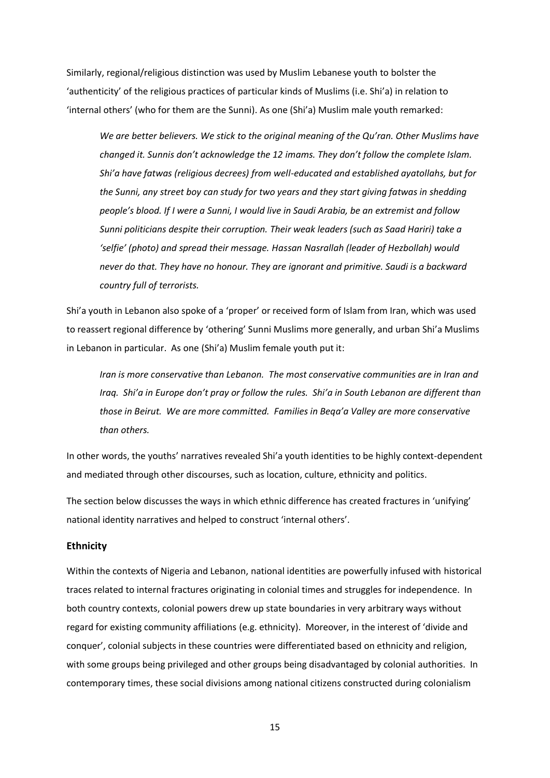Similarly, regional/religious distinction was used by Muslim Lebanese youth to bolster the 'authenticity' of the religious practices of particular kinds of Muslims (i.e. Shi'a) in relation to 'internal others' (who for them are the Sunni). As one (Shi'a) Muslim male youth remarked:

*We are better believers. We stick to the original meaning of the Qu'ran. Other Muslims have changed it. Sunnis don't acknowledge the 12 imams. They don't follow the complete Islam. Shi'a have fatwas (religious decrees) from well-educated and established ayatollahs, but for the Sunni, any street boy can study for two years and they start giving fatwas in shedding people's blood. If I were a Sunni, I would live in Saudi Arabia, be an extremist and follow Sunni politicians despite their corruption. Their weak leaders (such as Saad Hariri) take a 'selfie' (photo) and spread their message. Hassan Nasrallah (leader of Hezbollah) would never do that. They have no honour. They are ignorant and primitive. Saudi is a backward country full of terrorists.* 

Shi'a youth in Lebanon also spoke of a 'proper' or received form of Islam from Iran, which was used to reassert regional difference by 'othering' Sunni Muslims more generally, and urban Shi'a Muslims in Lebanon in particular. As one (Shi'a) Muslim female youth put it:

*Iran is more conservative than Lebanon. The most conservative communities are in Iran and Iraq. Shi'a in Europe don't pray or follow the rules. Shi'a in South Lebanon are different than those in Beirut. We are more committed. Families in Beqa'a Valley are more conservative than others.* 

In other words, the youths' narratives revealed Shi'a youth identities to be highly context-dependent and mediated through other discourses, such as location, culture, ethnicity and politics.

The section below discusses the ways in which ethnic difference has created fractures in 'unifying' national identity narratives and helped to construct 'internal others'.

#### **Ethnicity**

Within the contexts of Nigeria and Lebanon, national identities are powerfully infused with historical traces related to internal fractures originating in colonial times and struggles for independence. In both country contexts, colonial powers drew up state boundaries in very arbitrary ways without regard for existing community affiliations (e.g. ethnicity). Moreover, in the interest of 'divide and conquer', colonial subjects in these countries were differentiated based on ethnicity and religion, with some groups being privileged and other groups being disadvantaged by colonial authorities. In contemporary times, these social divisions among national citizens constructed during colonialism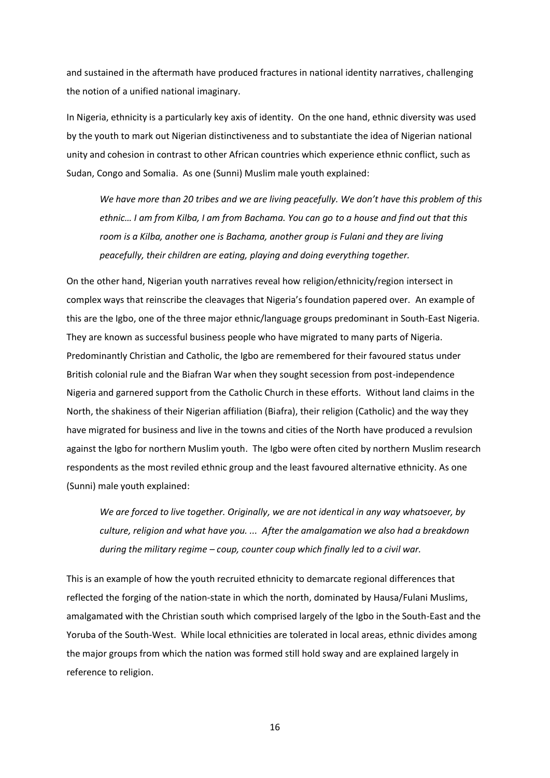and sustained in the aftermath have produced fractures in national identity narratives, challenging the notion of a unified national imaginary.

In Nigeria, ethnicity is a particularly key axis of identity. On the one hand, ethnic diversity was used by the youth to mark out Nigerian distinctiveness and to substantiate the idea of Nigerian national unity and cohesion in contrast to other African countries which experience ethnic conflict, such as Sudan, Congo and Somalia. As one (Sunni) Muslim male youth explained:

*We have more than 20 tribes and we are living peacefully. We don't have this problem of this ethnic… I am from Kilba, I am from Bachama. You can go to a house and find out that this room is a Kilba, another one is Bachama, another group is Fulani and they are living peacefully, their children are eating, playing and doing everything together.* 

On the other hand, Nigerian youth narratives reveal how religion/ethnicity/region intersect in complex ways that reinscribe the cleavages that Nigeria's foundation papered over. An example of this are the Igbo, one of the three major ethnic/language groups predominant in South-East Nigeria. They are known as successful business people who have migrated to many parts of Nigeria. Predominantly Christian and Catholic, the Igbo are remembered for their favoured status under British colonial rule and the Biafran War when they sought secession from post-independence Nigeria and garnered support from the Catholic Church in these efforts. Without land claims in the North, the shakiness of their Nigerian affiliation (Biafra), their religion (Catholic) and the way they have migrated for business and live in the towns and cities of the North have produced a revulsion against the Igbo for northern Muslim youth. The Igbo were often cited by northern Muslim research respondents as the most reviled ethnic group and the least favoured alternative ethnicity. As one (Sunni) male youth explained:

*We are forced to live together. Originally, we are not identical in any way whatsoever, by culture, religion and what have you. ... After the amalgamation we also had a breakdown during the military regime – coup, counter coup which finally led to a civil war.* 

This is an example of how the youth recruited ethnicity to demarcate regional differences that reflected the forging of the nation-state in which the north, dominated by Hausa/Fulani Muslims, amalgamated with the Christian south which comprised largely of the Igbo in the South-East and the Yoruba of the South-West. While local ethnicities are tolerated in local areas, ethnic divides among the major groups from which the nation was formed still hold sway and are explained largely in reference to religion.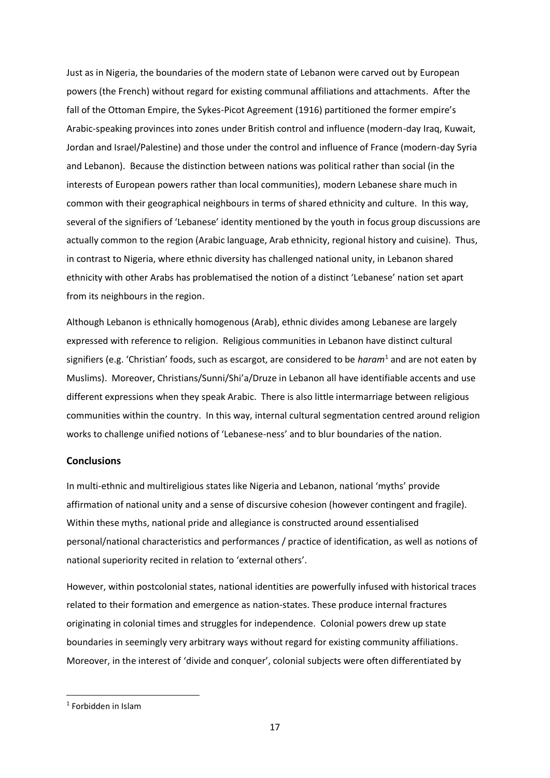Just as in Nigeria, the boundaries of the modern state of Lebanon were carved out by European powers (the French) without regard for existing communal affiliations and attachments. After the fall of the Ottoman Empire, the Sykes-Picot Agreement (1916) partitioned the former empire's Arabic-speaking provinces into zones under British control and influence (modern-day Iraq, Kuwait, Jordan and Israel/Palestine) and those under the control and influence of France (modern-day Syria and Lebanon). Because the distinction between nations was political rather than social (in the interests of European powers rather than local communities), modern Lebanese share much in common with their geographical neighbours in terms of shared ethnicity and culture. In this way, several of the signifiers of 'Lebanese' identity mentioned by the youth in focus group discussions are actually common to the region (Arabic language, Arab ethnicity, regional history and cuisine). Thus, in contrast to Nigeria, where ethnic diversity has challenged national unity, in Lebanon shared ethnicity with other Arabs has problematised the notion of a distinct 'Lebanese' nation set apart from its neighbours in the region.

Although Lebanon is ethnically homogenous (Arab), ethnic divides among Lebanese are largely expressed with reference to religion. Religious communities in Lebanon have distinct cultural signifiers (e.g. 'Christian' foods, such as escargot, are considered to be *haram*<sup>1</sup> and are not eaten by Muslims). Moreover, Christians/Sunni/Shi'a/Druze in Lebanon all have identifiable accents and use different expressions when they speak Arabic. There is also little intermarriage between religious communities within the country. In this way, internal cultural segmentation centred around religion works to challenge unified notions of 'Lebanese-ness' and to blur boundaries of the nation.

#### **Conclusions**

In multi-ethnic and multireligious states like Nigeria and Lebanon, national 'myths' provide affirmation of national unity and a sense of discursive cohesion (however contingent and fragile). Within these myths, national pride and allegiance is constructed around essentialised personal/national characteristics and performances / practice of identification, as well as notions of national superiority recited in relation to 'external others'.

However, within postcolonial states, national identities are powerfully infused with historical traces related to their formation and emergence as nation-states. These produce internal fractures originating in colonial times and struggles for independence. Colonial powers drew up state boundaries in seemingly very arbitrary ways without regard for existing community affiliations. Moreover, in the interest of 'divide and conquer', colonial subjects were often differentiated by

<sup>1</sup> Forbidden in Islam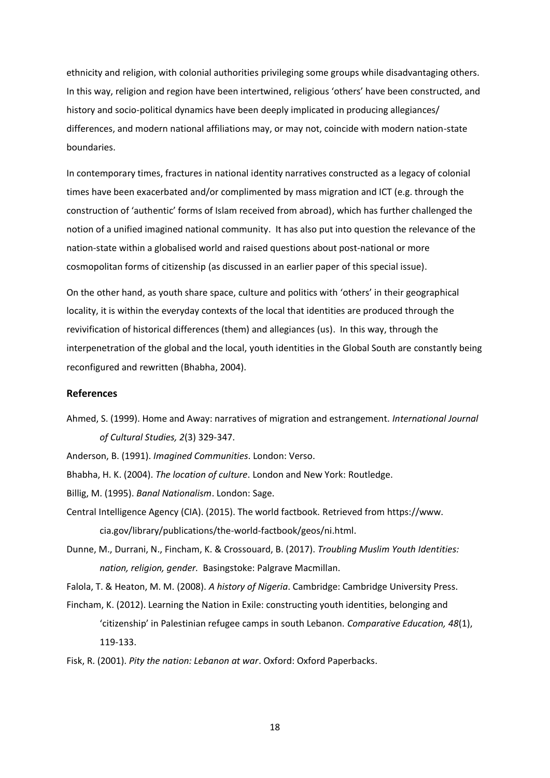ethnicity and religion, with colonial authorities privileging some groups while disadvantaging others. In this way, religion and region have been intertwined, religious 'others' have been constructed, and history and socio-political dynamics have been deeply implicated in producing allegiances/ differences, and modern national affiliations may, or may not, coincide with modern nation-state boundaries.

In contemporary times, fractures in national identity narratives constructed as a legacy of colonial times have been exacerbated and/or complimented by mass migration and ICT (e.g. through the construction of 'authentic' forms of Islam received from abroad), which has further challenged the notion of a unified imagined national community. It has also put into question the relevance of the nation-state within a globalised world and raised questions about post-national or more cosmopolitan forms of citizenship (as discussed in an earlier paper of this special issue).

On the other hand, as youth share space, culture and politics with 'others' in their geographical locality, it is within the everyday contexts of the local that identities are produced through the revivification of historical differences (them) and allegiances (us). In this way, through the interpenetration of the global and the local, youth identities in the Global South are constantly being reconfigured and rewritten (Bhabha, 2004).

#### **References**

- Ahmed, S. (1999). Home and Away: narratives of migration and estrangement. *International Journal of Cultural Studies, 2*(3) 329-347.
- Anderson, B. (1991). *Imagined Communities*. London: Verso.
- Bhabha, H. K. (2004). *The location of culture*. London and New York: Routledge.
- Billig, M. (1995). *Banal Nationalism*. London: Sage.
- Central Intelligence Agency (CIA). (2015). The world factbook. Retrieved from https://www. cia.gov/library/publications/the-world-factbook/geos/ni.html.
- Dunne, M., Durrani, N., Fincham, K. & Crossouard, B. (2017). *Troubling [Muslim Youth Identities:](http://sro.sussex.ac.uk/16399/)  [nation, religion, gender.](http://sro.sussex.ac.uk/16399/)* Basingstoke: Palgrave Macmillan.

- Fincham, K. (2012). Learning the Nation in Exile: constructing youth identities, belonging and 'citizenship' in Palestinian refugee camps in south Lebanon. *Comparative Education, 48*(1), 119-133.
- Fisk, R. (2001). *Pity the nation: Lebanon at war*. Oxford: Oxford Paperbacks.

Falola, T. & Heaton, M. M. (2008). *A history of Nigeria*. Cambridge: Cambridge University Press.